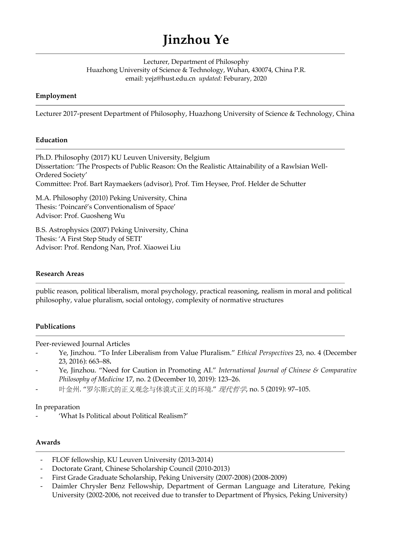# **Jinzhou Ye**

Lecturer, Department of Philosophy Huazhong University of Science & Technology, Wuhan, 430074, China P.R. email: yejz@hust.edu.cn *updated:* Feburary, 2020

## **Employment**

Lecturer 2017-present Department of Philosophy, Huazhong University of Science & Technology, China

## **Education**

Ph.D. Philosophy (2017) KU Leuven University, Belgium Dissertation: 'The Prospects of Public Reason: On the Realistic Attainability of a Rawlsian Well-Ordered Society' Committee: Prof. Bart Raymaekers (advisor), Prof. Tim Heysee, Prof. Helder de Schutter

M.A. Philosophy (2010) Peking University, China Thesis: 'Poincaré's Conventionalism of Space' Advisor: Prof. Guosheng Wu

B.S. Astrophysics (2007) Peking University, China Thesis: 'A First Step Study of SETI' Advisor: Prof. Rendong Nan, Prof. Xiaowei Liu

## **Research Areas**

public reason, political liberalism, moral psychology, practical reasoning, realism in moral and political philosophy, value pluralism, social ontology, complexity of normative structures

# **Publications**

Peer-reviewed Journal Articles

- Ye, Jinzhou. "To Infer Liberalism from Value Pluralism." *Ethical Perspectives* 23, no. 4 (December 23, 2016): 663–88**.**
- Ye, Jinzhou. "Need for Caution in Promoting AI." *International Journal of Chinese & Comparative Philosophy of Medicine* 17, no. 2 (December 10, 2019): 123–26.
- 叶金州. "罗尔斯式的正义观念与休谟式正义的环境." 现代哲学, no. 5 (2019): 97-105.

## In preparation

- 'What Is Political about Political Realism?'

## **Awards**

- FLOF fellowship, KU Leuven University (2013-2014)
- Doctorate Grant, Chinese Scholarship Council (2010-2013)
- First Grade Graduate Scholarship, Peking University (2007-2008) (2008-2009)
- Daimler Chrysler Benz Fellowship, Department of German Language and Literature, Peking University (2002-2006, not received due to transfer to Department of Physics, Peking University)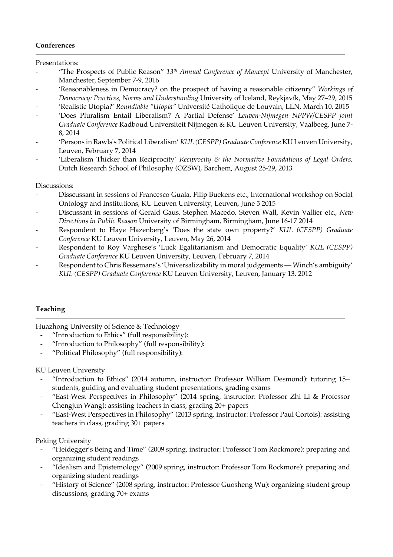## **Conferences**

Presentations:

- "The Prospects of Public Reason" *13th Annual Conference of Mancept* University of Manchester, Manchester, September 7-9, 2016
- 'Reasonableness in Democracy? on the prospect of having a reasonable citizenry" *Workings of Democracy: Practices, Norms and Understanding* University of Iceland, Reykjavík, May 27–29, 2015
- 'Realistic Utopia?' *Roundtable "Utopia"* Université Catholique de Louvain, LLN, March 10, 2015
- 'Does Pluralism Entail Liberalism? A Partial Defense' *Leuven-Nijmegen NPPW/CESPP joint Graduate Conference* Radboud Universiteit Nijmegen & KU Leuven University, Vaalbeeg, June 7- 8, 2014
- 'Persons in Rawls's Political Liberalism' *KUL (CESPP) Graduate Conference* KU Leuven University, Leuven, February 7, 2014
- 'Liberalism Thicker than Reciprocity' *Reciprocity & the Normative Foundations of Legal Orders,* Dutch Research School of Philosophy (OZSW), Barchem, August 25-29, 2013

#### Discussions:

- Disscussant in sessions of Francesco Guala, Filip Buekens etc., International workshop on Social Ontology and Institutions, KU Leuven University, Leuven, June 5 2015
- Discussant in sessions of Gerald Gaus, Stephen Macedo, Steven Wall, Kevin Vallier etc., *New Directions in Public Reason* University of Birmingham, Birmingham, June 16-17 2014
- Respondent to Haye Hazenberg's 'Does the state own property?' *KUL (CESPP) Graduate Conference* KU Leuven University, Leuven, May 26, 2014
- Respondent to Roy Varghese's 'Luck Egalitarianism and Democratic Equality' *KUL (CESPP) Graduate Conference* KU Leuven University, Leuven, February 7, 2014
- Respondent to Chris Bessemans's 'Universalizability in moral judgements Winch's ambiguity' *KUL (CESPP) Graduate Conference* KU Leuven University, Leuven, January 13, 2012

#### **Teaching**

Huazhong University of Science & Technology

- "Introduction to Ethics" (full responsibility):
- "Introduction to Philosophy" (full responsibility):
- "Political Philosophy" (full responsibility):

#### KU Leuven University

- "Introduction to Ethics" (2014 autumn, instructor: Professor William Desmond): tutoring 15+ students, guiding and evaluating student presentations, grading exams
- "East-West Perspectives in Philosophy" (2014 spring, instructor: Professor Zhi Li & Professor Chengjun Wang): assisting teachers in class, grading 20+ papers
- "East-West Perspectives in Philosophy" (2013 spring, instructor: Professor Paul Cortois): assisting teachers in class, grading 30+ papers

Peking University

- "Heidegger's Being and Time" (2009 spring, instructor: Professor Tom Rockmore): preparing and organizing student readings
- "Idealism and Epistemology" (2009 spring, instructor: Professor Tom Rockmore): preparing and organizing student readings
- "History of Science" (2008 spring, instructor: Professor Guosheng Wu): organizing student group discussions, grading 70+ exams